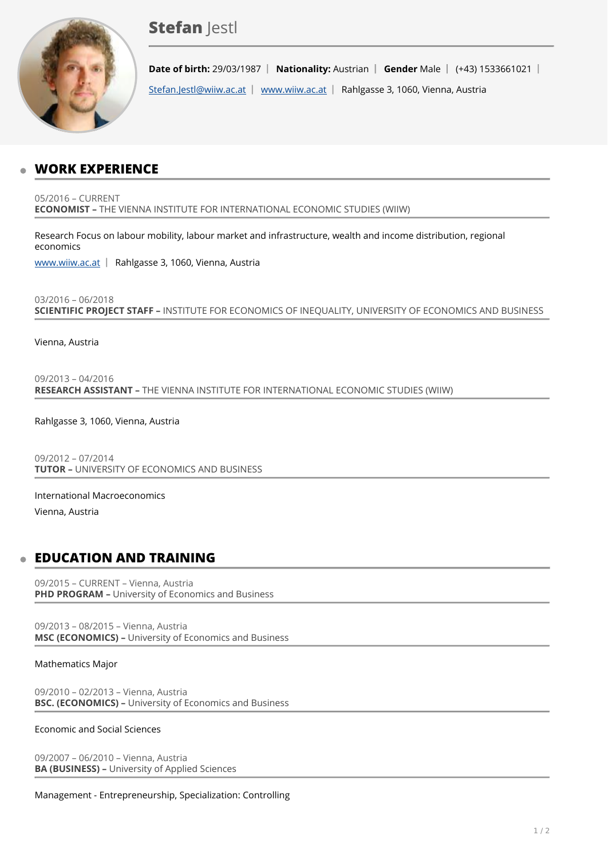# **Stefan lestl**



**Date of birth:** 29/03/1987 | Nationality: Austrian | Gender Male | (+43) 1533661021 | [Stefan.Jestl@wiiw.ac.at](mailto:Stefan.Jestl@wiiw.ac.at) | [www.wiiw.ac.at](http://www.wiiw.ac.at) | Rahlgasse 3, 1060, Vienna, Austria

## **WORK EXPERIENCE**

05/2016 – CURRENT **ECONOMIST –** THE VIENNA INSTITUTE FOR INTERNATIONAL ECONOMIC STUDIES (WIIW)

Research Focus on labour mobility, labour market and infrastructure, wealth and income distribution, regional economics

[www.wiiw.ac.at](http://www.wiiw.ac.at) | Rahlgasse 3, 1060, Vienna, Austria

03/2016 – 06/2018 **SCIENTIFIC PROJECT STAFF –** INSTITUTE FOR ECONOMICS OF INEQUALITY, UNIVERSITY OF ECONOMICS AND BUSINESS

Vienna, Austria

09/2013 – 04/2016 **RESEARCH ASSISTANT –** THE VIENNA INSTITUTE FOR INTERNATIONAL ECONOMIC STUDIES (WIIW)

Rahlgasse 3, 1060, Vienna, Austria

09/2012 – 07/2014 **TUTOR –** UNIVERSITY OF ECONOMICS AND BUSINESS

International Macroeconomics

Vienna, Austria

## **EDUCATION AND TRAINING**

09/2015 – CURRENT – Vienna, Austria **PHD PROGRAM –** University of Economics and Business

09/2013 – 08/2015 – Vienna, Austria **MSC (ECONOMICS) –** University of Economics and Business

#### Mathematics Major

09/2010 – 02/2013 – Vienna, Austria **BSC. (ECONOMICS) –** University of Economics and Business

#### Economic and Social Sciences

09/2007 – 06/2010 – Vienna, Austria **BA (BUSINESS) –** University of Applied Sciences

Management - Entrepreneurship, Specialization: Controlling